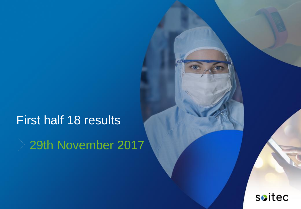# First half 18 results 29th November 2017

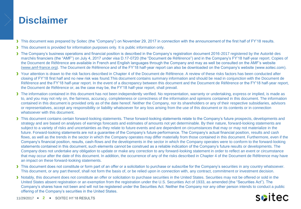#### **Disclaimer**

This document was prepared by Soitec (the "Company") on November 29, 2017 in connection with the announcement of the first half of FY'18 results.

This document is provided for information purposes only. It is public information only.

- The Company's business operations and financial position is described in the Company's registration document 2016-2017 registered by the Autorité des marchés financiers (the "AMF") on July 4, 2017 under visa D.17-0720 (the "Document de Référence") and in the Company's FY'18 half-year report. Copies of the Document de Référence are available in French and English languages through the Company and may as well be consulted on the AMF's website ([www.amf-france.org](http://www.amf-france.org/)). The Document de Référence and of the FY'18 half-year report can also be downloaded on the Company's website (www.soitec.com).
- Your attention is drawn to the risk factors described in Chapter 4 of the Document de Référence. A review of these risks factors has been conducted after closing of FY'18 first half and no new risk was found.This document contains summary information and should be read in conjunction with the Document de Référence and the FY'18 half-year report. In the event of a discrepancy between this document and the Document de Référence or the FY'18 half-year report, the Document de Référence or, as the case may be, the FY'18 half-year report, shall prevail.
- The information contained in this document has not been independently verified. No representation, warranty or undertaking, express or implied, is made as to, and you may not rely on, the fairness, accuracy, completeness or correctness of the information and opinions contained in this document. The information contained in this document is provided only as of the date hereof. Neither the Company, nor its shareholders or any of their respective subsidiaries, advisors or representatives, accept any responsibility or liability whatsoever for any loss arising from the use of this document or its contents or in connection whatsoever with this document.
- This document contains certain forward-looking statements. These forward-looking statements relate to the Company's future prospects, developments and strategy and are based on analyses of earnings forecasts and estimates of amounts not yet determinable. By their nature, forward-looking statements are subject to a variety of risks and uncertainties as they relate to future events and are dependent on circumstances that may or may not materialize in the future. Forward-looking statements are not a guarantee of the Company's future performance. The Company's actual financial position, results and cash flows, as well as the trends in the sector in which the Company operates may differ materially from those contained in this document. Furthermore, even if the Company's financial position, results, cash-flows and the developments in the sector in which the Company operates were to conform to the forward-looking statements contained in this document, such elements cannot be construed as a reliable indication of the Company's future results or developments. The Company does not undertake any obligation to update or make any correction to any forward-looking statement in order to reflect an event or circumstance that may occur after the date of this document. In addition, the occurrence of any of the risks described in Chapter 4 of the Document de Référence may have an impact on these forward-looking statements.
- If this document does not constitute or form part of an offer or a solicitation to purchase or subscribe for the Company's securities in any country whatsoever. This document, or any part thereof, shall not form the basis of, or be relied upon in connection with, any contract, commitment or investment decision.
- I Notably, this document does not constitute an offer or solicitation to purchase securities in the United States. Securities may not be offered or sold in the United States absent registration or an exemption from the registration under the U.S. Securities Act of 1933, as amended (the "Securities Act"). The Company's shares have not been and will not be registered under the Securities Act. Neither the Company nor any other person intends to conduct a public offering of the Company's securities in the United States.

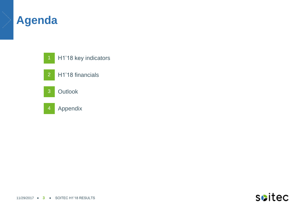

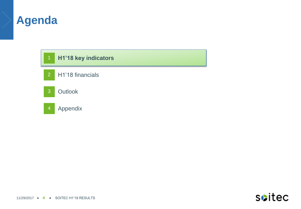

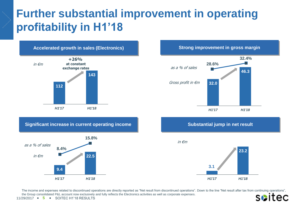### **Further substantial improvement in operating profitability in H1'18**





**Significant increase in current operating income**







The income and expenses related to discontinued operations are directly reported as "Net result from discontinued operations". Down to the line "Net result after tax from continuing operations", the Group consolidated P&L account now exclusively and fully reflects the Electronics activities as well as corporate expenses. seitec

11/29/2017 **• 5** • SOITEC H1'18 RESULTS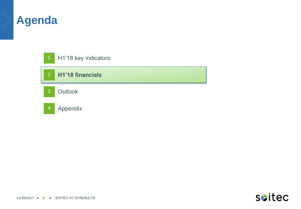

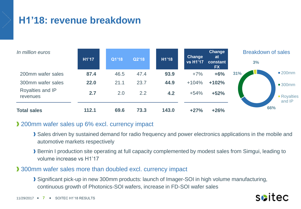#### **H1'18: revenue breakdown**



#### 200mm wafer sales up 6% excl. currency impact

- Sales driven by sustained demand for radio frequency and power electronics applications in the mobile and automotive markets respectively
- Bernin I production site operating at full capacity complemented by modest sales from Simgui, leading to volume increase vs H1'17
- 300mm wafer sales more than doubled excl. currency impact
	- Significant pick-up in new 300mm products: launch of Imager-SOI in high volume manufacturing, continuous growth of Photonics-SOI wafers, increase in FD-SOI wafer sales

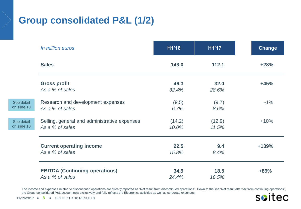#### **Group consolidated P&L (1/2)**

|                 | In million euros                                                | H1'18           | H1'17           | <b>Change</b> |
|-----------------|-----------------------------------------------------------------|-----------------|-----------------|---------------|
|                 | <b>Sales</b>                                                    | 143.0           | 112.1           | $+28%$        |
|                 | <b>Gross profit</b><br>As a % of sales                          | 46.3<br>32.4%   | 32.0<br>28.6%   | $+45%$        |
| detail<br>de 10 | Research and development expenses<br>As a % of sales            | (9.5)<br>6.7%   | (9.7)<br>8.6%   | $-1%$         |
| detail<br>de 10 | Selling, general and administrative expenses<br>As a % of sales | (14.2)<br>10.0% | (12.9)<br>11.5% | $+10%$        |
|                 | <b>Current operating income</b><br>As a % of sales              | 22.5<br>15.8%   | 9.4<br>8.4%     | $+139%$       |
|                 | <b>EBITDA (Continuing operations)</b><br>As a % of sales        | 34.9<br>24.4%   | 18.5<br>16.5%   | +89%          |

The income and expenses related to discontinued operations are directly reported as "Net result from discontinued operations". Down to the line "Net result after tax from continuing operations", the Group consolidated P&L account now exclusively and fully reflects the Electronics activities as well as corporate expenses.

See on sli

See on sli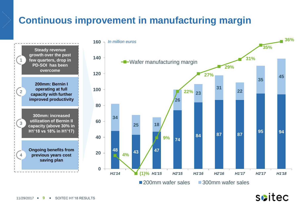#### **Continuous improvement in manufacturing margin**



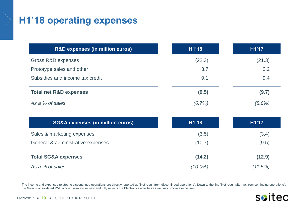#### **H1'18 operating expenses**

| <b>R&amp;D expenses (in million euros)</b>  | H1'18      | H1'17     |
|---------------------------------------------|------------|-----------|
| Gross R&D expenses                          | (22.3)     | (21.3)    |
| Prototype sales and other                   | 3.7        | 2.2       |
| Subsidies and income tax credit             | 9.1        | 9.4       |
| <b>Total net R&amp;D expenses</b>           | (9.5)      | (9.7)     |
| As a % of sales                             | (6.7%)     | $(8.6\%)$ |
| <b>SG&amp;A expenses (in million euros)</b> | H1'18      | H1'17     |
| Sales & marketing expenses                  | (3.5)      | (3.4)     |
| General & administrative expenses           | (10.7)     | (9.5)     |
| <b>Total SG&amp;A expenses</b>              | (14.2)     | (12.9)    |
| As a % of sales                             | $(10.0\%)$ | (11.5%)   |

The income and expenses related to discontinued operations are directly reported as "Net result from discontinued operations". Down to the line "Net result after tax from continuing operations", the Group consolidated P&L account now exclusively and fully reflects the Electronics activities as well as corporate expenses.

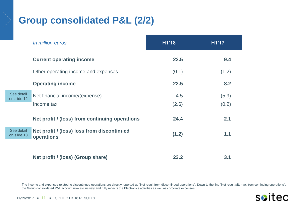#### **Group consolidated P&L (2/2)**

|                       | In million euros                                         | H1'18 | H1'17 |
|-----------------------|----------------------------------------------------------|-------|-------|
|                       | <b>Current operating income</b>                          | 22.5  | 9.4   |
|                       | Other operating income and expenses                      | (0.1) | (1.2) |
|                       | <b>Operating income</b>                                  | 22.5  | 8.2   |
| e detail<br>slide 12  | Net financial income/(expense)                           | 4.5   | (5.9) |
|                       | Income tax                                               | (2.6) | (0.2) |
|                       | Net profit / (loss) from continuing operations           | 24.4  | 2.1   |
| ee detail<br>slide 13 | Net profit / (loss) loss from discontinued<br>operations | (1.2) | 1.1   |
|                       | Net profit / (loss) (Group share)                        | 23.2  | 3.1   |

The income and expenses related to discontinued operations are directly reported as "Net result from discontinued operations". Down to the line "Net result after tax from continuing operations", the Group consolidated P&L account now exclusively and fully reflects the Electronics activities as well as corporate expenses.



 $S<sub>0</sub>$ on

 $S<sub>0</sub>$ on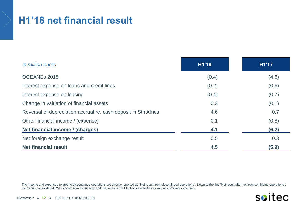#### **H1'18 net financial result**

| In million euros                                                | H1'18 | H1'17 |
|-----------------------------------------------------------------|-------|-------|
| OCEANEs 2018                                                    | (0.4) | (4.6) |
| Interest expense on loans and credit lines                      | (0.2) | (0.6) |
| Interest expense on leasing                                     | (0.4) | (0.7) |
| Change in valuation of financial assets                         | 0.3   | (0.1) |
| Reversal of depreciation accrual re. cash deposit in Sth Africa | 4.6   | 0.7   |
| Other financial income / (expense)                              | 0.1   | (0.8) |
| Net financial income / (charges)                                | 4.1   | (6.2) |
| Net foreign exchange result                                     | 0.5   | 0.3   |
| <b>Net financial result</b>                                     | 4.5   | (5.9) |

The income and expenses related to discontinued operations are directly reported as "Net result from discontinued operations". Down to the line "Net result after tax from continuing operations", the Group consolidated P&L account now exclusively and fully reflects the Electronics activities as well as corporate expenses.

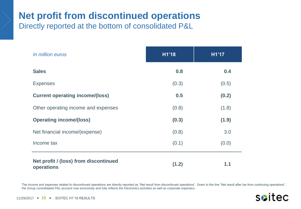#### **Net profit from discontinued operations**

Directly reported at the bottom of consolidated P&L

| In million euros                                    | H1'18 | H1'17 |
|-----------------------------------------------------|-------|-------|
| <b>Sales</b>                                        | 0.8   | 0.4   |
| <b>Expenses</b>                                     | (0.3) | (0.5) |
| <b>Current operating income/(loss)</b>              | 0.5   | (0.2) |
| Other operating income and expenses                 | (0.8) | (1.8) |
| <b>Operating income/(loss)</b>                      | (0.3) | (1.9) |
| Net financial income/(expense)                      | (0.8) | 3.0   |
| Income tax                                          | (0.1) | (0.0) |
| Net profit / (loss) from discontinued<br>operations | (1.2) | 1.1   |

The income and expenses related to discontinued operations are directly reported as "Net result from discontinued operations". Down to the line "Net result after tax from continuing operations", the Group consolidated P&L account now exclusively and fully reflects the Electronics activities as well as corporate expenses.

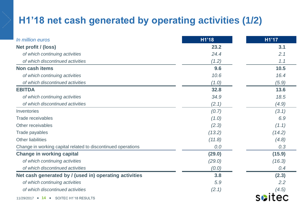#### **H1'18 net cash generated by operating activities (1/2)**

| In million euros                                             | H1'18  | H1'17  |
|--------------------------------------------------------------|--------|--------|
| Net profit / (loss)                                          | 23.2   | 3.1    |
| of which continuing activities                               | 24.4   | 2.1    |
| of which discontinued activities                             | (1.2)  | 1.1    |
| <b>Non cash items</b>                                        | 9.6    | 10.5   |
| of which continuing activities                               | 10.6   | 16.4   |
| of which discontinued activities                             | (1.0)  | (5.9)  |
| <b>EBITDA</b>                                                | 32.8   | 13.6   |
| of which continuing activities                               | 34.9   | 18.5   |
| of which discontinued activities                             | (2.1)  | (4.9)  |
| Inventories                                                  | (0.7)  | (3.1)  |
| <b>Trade receivables</b>                                     | (1.0)  | 6.9    |
| Other receivables                                            | (2.3)  | (1.1)  |
| Trade payables                                               | (13.2) | (14.2) |
| <b>Other liabilities</b>                                     | (11.8) | (4.8)  |
| Change in working capital related to discontinued operations | 0.0    | 0.3    |
| <b>Change in working capital</b>                             | (29.0) | (15.9) |
| of which continuing activities                               | (29.0) | (16.3) |
| of which discontinued activities                             | (0.0)  | 0.4    |
| Net cash generated by / (used in) operating activities       | 3.8    | (2.3)  |
| of which continuing activities                               | 5.9    | 2.2    |
| of which discontinued activities                             | (2.1)  | (4.5)  |
| 11/29/2017 • 14 • SOITEC H1'18 RESULTS                       |        | ρ٥     |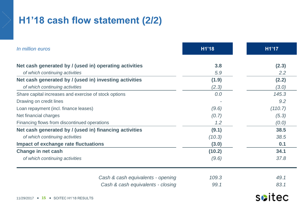#### **H1'18 cash flow statement (2/2)**

| In million euros                                       | H1'18  | H1'17   |
|--------------------------------------------------------|--------|---------|
| Net cash generated by / (used in) operating activities | 3.8    | (2.3)   |
| of which continuing activities                         | 5.9    | 2.2     |
| Net cash generated by / (used in) investing activities | (1.9)  | (2.2)   |
| of which continuing activities                         | (2.3)  | (3.0)   |
| Share capital increases and exercise of stock options  | 0.0    | 145.3   |
| Drawing on credit lines                                |        | 9.2     |
| Loan repayment (incl. finance leases)                  | (9.6)  | (110.7) |
| Net financial charges                                  | (0.7)  | (5.3)   |
| Financing flows from discontinued operations           | 1.2    | (0.0)   |
| Net cash generated by / (used in) financing activities | (9.1)  | 38.5    |
| of which continuing activities                         | (10.3) | 38.5    |
| <b>Impact of exchange rate fluctuations</b>            | (3.0)  | 0.1     |
| <b>Change in net cash</b>                              | (10.2) | 34.1    |
| of which continuing activities                         | (9.6)  | 37.8    |
| Cash & cash equivalents - opening                      | 109.3  | 49.1    |
| Cash & cash equivalents - closing                      | 99.1   | 83.1    |
| 11/29/2017 • 15 • SOITEC H1'18 RESULTS                 |        |         |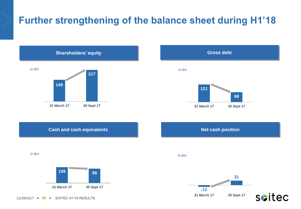#### **Further strengthening of the balance sheet during H1'18**

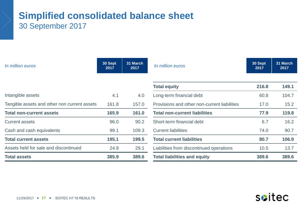#### **Simplified consolidated balance sheet** 30 September 2017

| In million euros                             | 30 Sept<br>2017 | 31 March<br>2017 | In million euros                             | 30 Sept<br>2017 | 31 March<br>2017 |
|----------------------------------------------|-----------------|------------------|----------------------------------------------|-----------------|------------------|
|                                              |                 |                  | <b>Total equity</b>                          | 216.8           | 149.1            |
| Intangible assets                            | 4.1             | 4.0              | Long-term financial debt                     | 60.8            | 104.7            |
| Tangible assets and other non current assets | 161.8           | 157.0            | Provisions and other non-current liabilities | 17.0            | 15.2             |
| <b>Total non-current assets</b>              | 165.9           | 161.0            | <b>Total non-current liabilities</b>         | 77.9            | 119.8            |
| <b>Current assets</b>                        | 96.0            | 90.2             | Short-term financial debt                    | 6.7             | 16.2             |
| Cash and cash equivalents                    | 99.1            | 109.3            | <b>Current liabilities</b>                   | 74.0            | 90.7             |
| <b>Total current assets</b>                  | 195.1           | 199.5            | <b>Total current liabilities</b>             | 80.7            | 106.9            |
| Assets held for sale and discontinued        | 24.8            | 29.1             | Liabilities from discontinued operations     | 10.5            | 13.7             |
| <b>Total assets</b>                          | 385.9           | 389.6            | <b>Total liabilities and equity</b>          | 389.6           | 389.6            |



11/29/2017 • **17** • SOITEC H1'18 RESULTS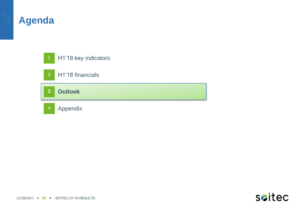

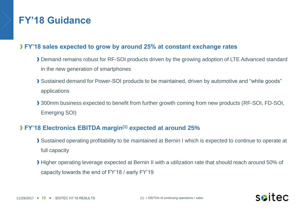#### **FY'18 Guidance**

#### **FY'18 sales expected to grow by around 25% at constant exchange rates**

- Demand remains robust for RF-SOI products driven by the growing adoption of LTE Advanced standard in the new generation of smartphones
- Sustained demand for Power-SOI products to be maintained, driven by automotive and "white goods" applications
- 300mm business expected to benefit from further growth coming from new products (RF-SOI, FD-SOI, Emerging SOI)

#### **FY'18 Electronics EBITDA margin(1) expected at around 25%**

- Sustained operating profitability to be maintained at Bernin I which is expected to continue to operate at full capacity
- Higher operating leverage expected at Bernin II with a utilization rate that should reach around 50% of capacity towards the end of FY'18 / early FY'19

seitec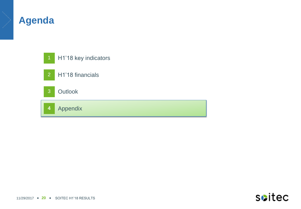

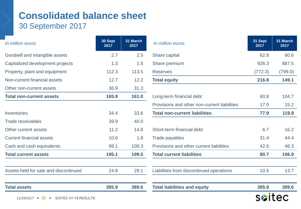#### **Consolidated balance sheet**  30 September 2017

| In million euros                          | 30 Sept<br>2017 | 31 March<br>2017 | In million euros                             | 31 Sept<br>2017 | 31 March<br>2017 |
|-------------------------------------------|-----------------|------------------|----------------------------------------------|-----------------|------------------|
| Goodwill and intangible assets            | 2.7             | 2.5              | Share capital                                | 62.8            | 60.6             |
| Capitalized development projects          | 1.3             | 1.5              | Share premium                                | 926.3           | 887.5            |
| Property, plant and equipment             | 112.3           | 113.5            | <b>Reserves</b>                              | (772.3)         | (799.0)          |
| Non-current financial assets              | 12.7            | 12.2             | <b>Total equity</b>                          | 216.8           | 149.1            |
| Other non-current assets                  | 36.9            | 31.3             |                                              |                 |                  |
| <b>Total non-current assets</b>           | 165.9           | 161.0            | Long-term financial debt                     | 60.8            | 104.7            |
|                                           |                 |                  | Provisions and other non-current liabilities | 17.0            | 15.2             |
| Inventories                               | 34.4            | 33.6             | <b>Total non-current liabilities</b>         | 77.9            | 119.8            |
| <b>Trade receivables</b>                  | 39.9            | 40.0             |                                              |                 |                  |
| Other current assets                      | 11.2            | 14.8             | Short-term financial debt                    | 6.7             | 16.2             |
| <b>Current financial assets</b>           | 10.6            | 1.8              | Trade payables                               | 31.4            | 44.4             |
| Cash and cash equivalents                 | 99.1            | 109.3            | Provisions and other current liabilities     | 42.6            | 46.3             |
| <b>Total current assets</b>               | 195.1           | 199.5            | <b>Total current liabilities</b>             | 80.7            | 106.9            |
| Assets held for sale and discontinued     | 24.8            | 29.1             | Liabilities from discontinued operations     | 10.5            | 13.7             |
| <b>Total assets</b>                       | 385.9           | 389.6            | <b>Total liabilities and equity</b>          | 385.9           | 389.6            |
| 11/29/2017 • 21<br>• SOITEC H1'18 RESULTS |                 |                  |                                              | seitec          |                  |